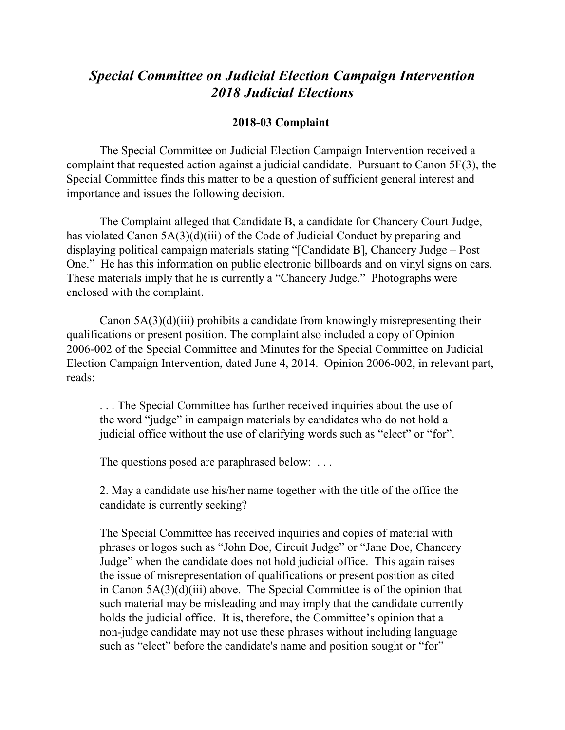## *Special Committee on Judicial Election Campaign Intervention 2018 Judicial Elections*

## **2018-03 Complaint**

The Special Committee on Judicial Election Campaign Intervention received a complaint that requested action against a judicial candidate. Pursuant to Canon 5F(3), the Special Committee finds this matter to be a question of sufficient general interest and importance and issues the following decision.

The Complaint alleged that Candidate B, a candidate for Chancery Court Judge, has violated Canon 5A(3)(d)(iii) of the Code of Judicial Conduct by preparing and displaying political campaign materials stating "[Candidate B], Chancery Judge – Post One." He has this information on public electronic billboards and on vinyl signs on cars. These materials imply that he is currently a "Chancery Judge." Photographs were enclosed with the complaint.

Canon 5A(3)(d)(iii) prohibits a candidate from knowingly misrepresenting their qualifications or present position. The complaint also included a copy of Opinion 2006-002 of the Special Committee and Minutes for the Special Committee on Judicial Election Campaign Intervention, dated June 4, 2014. Opinion 2006-002, in relevant part, reads:

. . . The Special Committee has further received inquiries about the use of the word "judge" in campaign materials by candidates who do not hold a judicial office without the use of clarifying words such as "elect" or "for".

The questions posed are paraphrased below: ...

2. May a candidate use his/her name together with the title of the office the candidate is currently seeking?

The Special Committee has received inquiries and copies of material with phrases or logos such as "John Doe, Circuit Judge" or "Jane Doe, Chancery Judge" when the candidate does not hold judicial office. This again raises the issue of misrepresentation of qualifications or present position as cited in Canon 5A(3)(d)(iii) above. The Special Committee is of the opinion that such material may be misleading and may imply that the candidate currently holds the judicial office. It is, therefore, the Committee's opinion that a non-judge candidate may not use these phrases without including language such as "elect" before the candidate's name and position sought or "for"